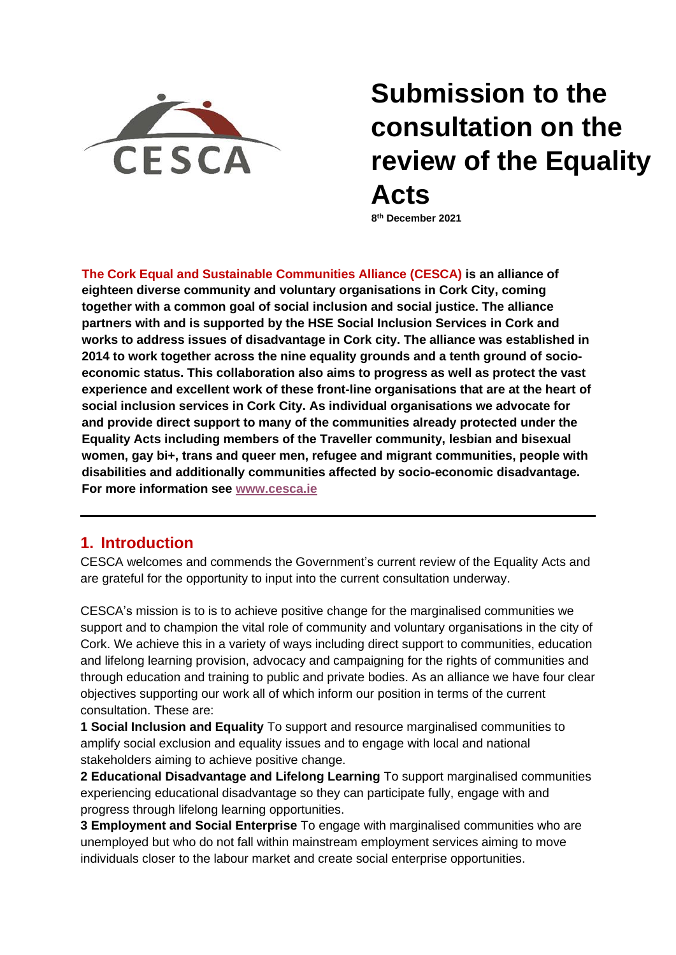

# **Submission to the consultation on the review of the Equality Acts**

**8 th December 2021**

**The Cork Equal and Sustainable Communities Alliance (CESCA) is an alliance of eighteen diverse community and voluntary organisations in Cork City, coming together with a common goal of social inclusion and social justice. The alliance partners with and is supported by the HSE Social Inclusion Services in Cork and works to address issues of disadvantage in Cork city. The alliance was established in 2014 to work together across the nine equality grounds and a tenth ground of socioeconomic status. This collaboration also aims to progress as well as protect the vast experience and excellent work of these front-line organisations that are at the heart of social inclusion services in Cork City. As individual organisations we advocate for and provide direct support to many of the communities already protected under the Equality Acts including members of the Traveller community, lesbian and bisexual women, gay bi+, trans and queer men, refugee and migrant communities, people with disabilities and additionally communities affected by socio-economic disadvantage. For more information see [www.cesca.ie](http://www.cesca.ie/)**

## **1. Introduction**

CESCA welcomes and commends the Government's current review of the Equality Acts and are grateful for the opportunity to input into the current consultation underway.

CESCA's mission is to is to achieve positive change for the marginalised communities we support and to champion the vital role of community and voluntary organisations in the city of Cork. We achieve this in a variety of ways including direct support to communities, education and lifelong learning provision, advocacy and campaigning for the rights of communities and through education and training to public and private bodies. As an alliance we have four clear objectives supporting our work all of which inform our position in terms of the current consultation. These are:

**1 Social Inclusion and Equality** To support and resource marginalised communities to amplify social exclusion and equality issues and to engage with local and national stakeholders aiming to achieve positive change.

**2 Educational Disadvantage and Lifelong Learning** To support marginalised communities experiencing educational disadvantage so they can participate fully, engage with and progress through lifelong learning opportunities.

**3 Employment and Social Enterprise** To engage with marginalised communities who are unemployed but who do not fall within mainstream employment services aiming to move individuals closer to the labour market and create social enterprise opportunities.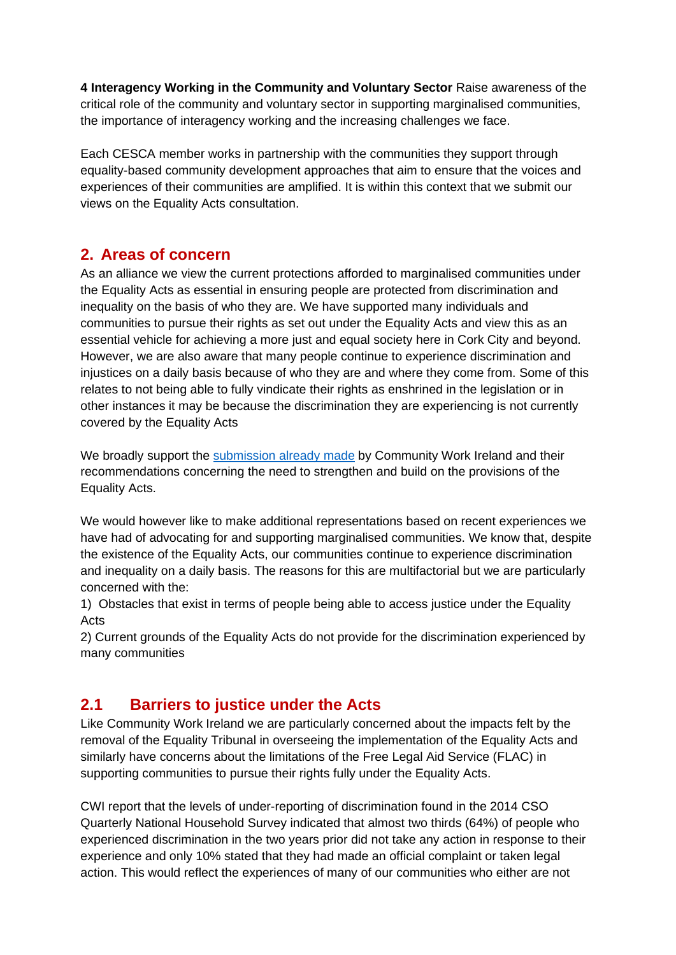**4 Interagency Working in the Community and Voluntary Sector** Raise awareness of the critical role of the community and voluntary sector in supporting marginalised communities, the importance of interagency working and the increasing challenges we face.

Each CESCA member works in partnership with the communities they support through equality-based community development approaches that aim to ensure that the voices and experiences of their communities are amplified. It is within this context that we submit our views on the Equality Acts consultation.

## **2. Areas of concern**

As an alliance we view the current protections afforded to marginalised communities under the Equality Acts as essential in ensuring people are protected from discrimination and inequality on the basis of who they are. We have supported many individuals and communities to pursue their rights as set out under the Equality Acts and view this as an essential vehicle for achieving a more just and equal society here in Cork City and beyond. However, we are also aware that many people continue to experience discrimination and injustices on a daily basis because of who they are and where they come from. Some of this relates to not being able to fully vindicate their rights as enshrined in the legislation or in other instances it may be because the discrimination they are experiencing is not currently covered by the Equality Acts

We broadly support the [submission already made](https://www.cwi.ie/review-of-the-equality-legislation-2021/) by Community Work Ireland and their recommendations concerning the need to strengthen and build on the provisions of the Equality Acts.

We would however like to make additional representations based on recent experiences we have had of advocating for and supporting marginalised communities. We know that, despite the existence of the Equality Acts, our communities continue to experience discrimination and inequality on a daily basis. The reasons for this are multifactorial but we are particularly concerned with the:

1) Obstacles that exist in terms of people being able to access justice under the Equality Acts

2) Current grounds of the Equality Acts do not provide for the discrimination experienced by many communities

## **2.1 Barriers to justice under the Acts**

Like Community Work Ireland we are particularly concerned about the impacts felt by the removal of the Equality Tribunal in overseeing the implementation of the Equality Acts and similarly have concerns about the limitations of the Free Legal Aid Service (FLAC) in supporting communities to pursue their rights fully under the Equality Acts.

CWI report that the levels of under-reporting of discrimination found in the 2014 CSO Quarterly National Household Survey indicated that almost two thirds (64%) of people who experienced discrimination in the two years prior did not take any action in response to their experience and only 10% stated that they had made an official complaint or taken legal action. This would reflect the experiences of many of our communities who either are not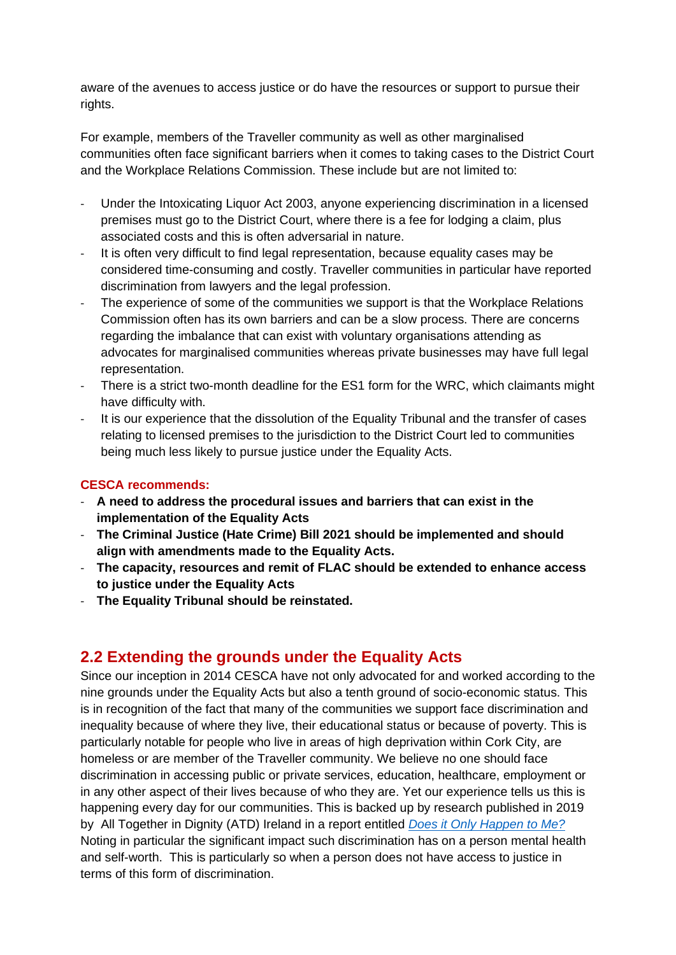aware of the avenues to access justice or do have the resources or support to pursue their rights.

For example, members of the Traveller community as well as other marginalised communities often face significant barriers when it comes to taking cases to the District Court and the Workplace Relations Commission. These include but are not limited to:

- Under the Intoxicating Liquor Act 2003, anyone experiencing discrimination in a licensed premises must go to the District Court, where there is a fee for lodging a claim, plus associated costs and this is often adversarial in nature.
- It is often very difficult to find legal representation, because equality cases may be considered time-consuming and costly. Traveller communities in particular have reported discrimination from lawyers and the legal profession.
- The experience of some of the communities we support is that the Workplace Relations Commission often has its own barriers and can be a slow process. There are concerns regarding the imbalance that can exist with voluntary organisations attending as advocates for marginalised communities whereas private businesses may have full legal representation.
- There is a strict two-month deadline for the ES1 form for the WRC, which claimants might have difficulty with.
- It is our experience that the dissolution of the Equality Tribunal and the transfer of cases relating to licensed premises to the jurisdiction to the District Court led to communities being much less likely to pursue justice under the Equality Acts.

#### **CESCA recommends:**

- **A need to address the procedural issues and barriers that can exist in the implementation of the Equality Acts**
- **The Criminal Justice (Hate Crime) Bill 2021 should be implemented and should align with amendments made to the Equality Acts.**
- **The capacity, resources and remit of FLAC should be extended to enhance access to justice under the Equality Acts**
- **The Equality Tribunal should be reinstated.**

### **2.2 Extending the grounds under the Equality Acts**

Since our inception in 2014 CESCA have not only advocated for and worked according to the nine grounds under the Equality Acts but also a tenth ground of socio-economic status. This is in recognition of the fact that many of the communities we support face discrimination and inequality because of where they live, their educational status or because of poverty. This is particularly notable for people who live in areas of high deprivation within Cork City, are homeless or are member of the Traveller community. We believe no one should face discrimination in accessing public or private services, education, healthcare, employment or in any other aspect of their lives because of who they are. Yet our experience tells us this is happening every day for our communities. This is backed up by research published in 2019 by All Together in Dignity (ATD) Ireland in a report entitled *[Does it Only Happen to Me?](http://17october.ie/wp-content/uploads/2019/09/SES-Discrimination-Report-ATD-Ireland-Sept-19.pdf)* Noting in particular the significant impact such discrimination has on a person mental health and self-worth. This is particularly so when a person does not have access to justice in terms of this form of discrimination.